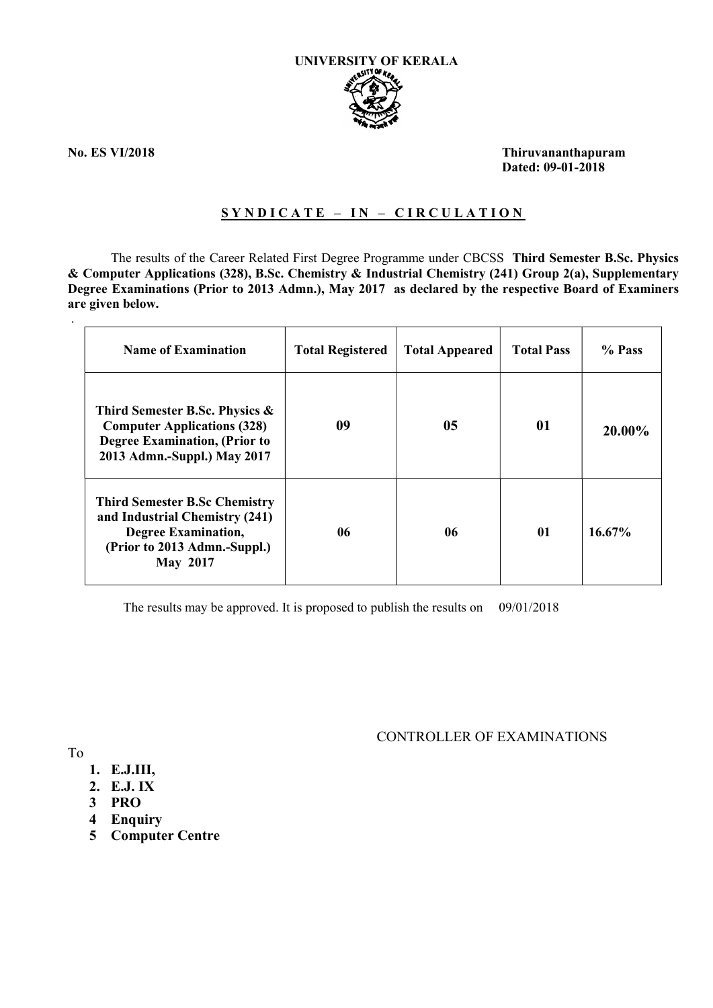

.

No. ES VI/2018 Thiruvananthapuram Dated: 09-01-2018

### SYNDICATE - IN - CIRCULATION

The results of the Career Related First Degree Programme under CBCSS Third Semester B.Sc. Physics & Computer Applications (328), B.Sc. Chemistry & Industrial Chemistry (241) Group 2(a), Supplementary Degree Examinations (Prior to 2013 Admn.), May 2017 as declared by the respective Board of Examiners are given below.

| <b>Name of Examination</b>                                                                                                                              | <b>Total Registered</b> | <b>Total Appeared</b> | <b>Total Pass</b> | % Pass    |
|---------------------------------------------------------------------------------------------------------------------------------------------------------|-------------------------|-----------------------|-------------------|-----------|
| Third Semester B.Sc. Physics &<br><b>Computer Applications (328)</b><br><b>Degree Examination, (Prior to</b><br>2013 Admn.-Suppl.) May 2017             | 09                      | 05                    | 01                | 20.00%    |
| <b>Third Semester B.Sc Chemistry</b><br>and Industrial Chemistry (241)<br><b>Degree Examination,</b><br>(Prior to 2013 Admn.-Suppl.)<br><b>May 2017</b> | 06                      | 06                    | 01                | $16.67\%$ |

The results may be approved. It is proposed to publish the results on 09/01/2018

CONTROLLER OF EXAMINATIONS

To

- 1. E.J.III,
- 2. E.J. IX
- 3 PRO
- 4 Enquiry
- 5 Computer Centre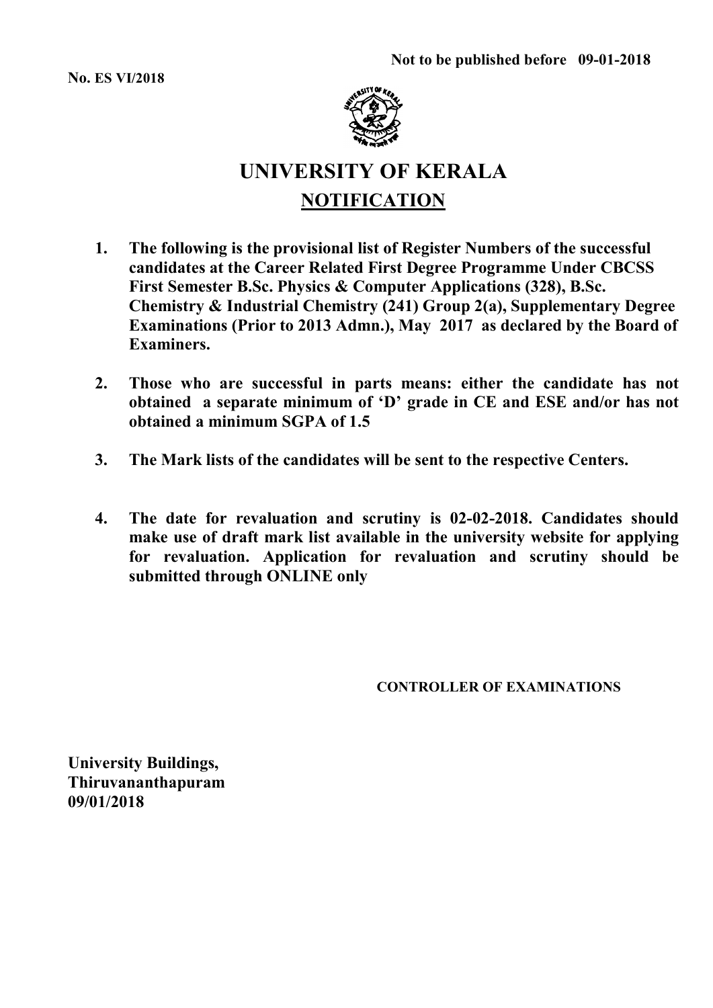No. ES VI/2018



# UNIVERSITY OF KERALA **NOTIFICATION**

- 1. The following is the provisional list of Register Numbers of the successful candidates at the Career Related First Degree Programme Under CBCSS First Semester B.Sc. Physics & Computer Applications (328), B.Sc. Chemistry & Industrial Chemistry (241) Group 2(a), Supplementary Degree Examinations (Prior to 2013 Admn.), May 2017 as declared by the Board of Examiners.
- 2. Those who are successful in parts means: either the candidate has not obtained a separate minimum of 'D' grade in CE and ESE and/or has not obtained a minimum SGPA of 1.5
- 3. The Mark lists of the candidates will be sent to the respective Centers.
- 4. The date for revaluation and scrutiny is 02-02-2018. Candidates should make use of draft mark list available in the university website for applying for revaluation. Application for revaluation and scrutiny should be submitted through ONLINE only

CONTROLLER OF EXAMINATIONS

University Buildings, Thiruvananthapuram 09/01/2018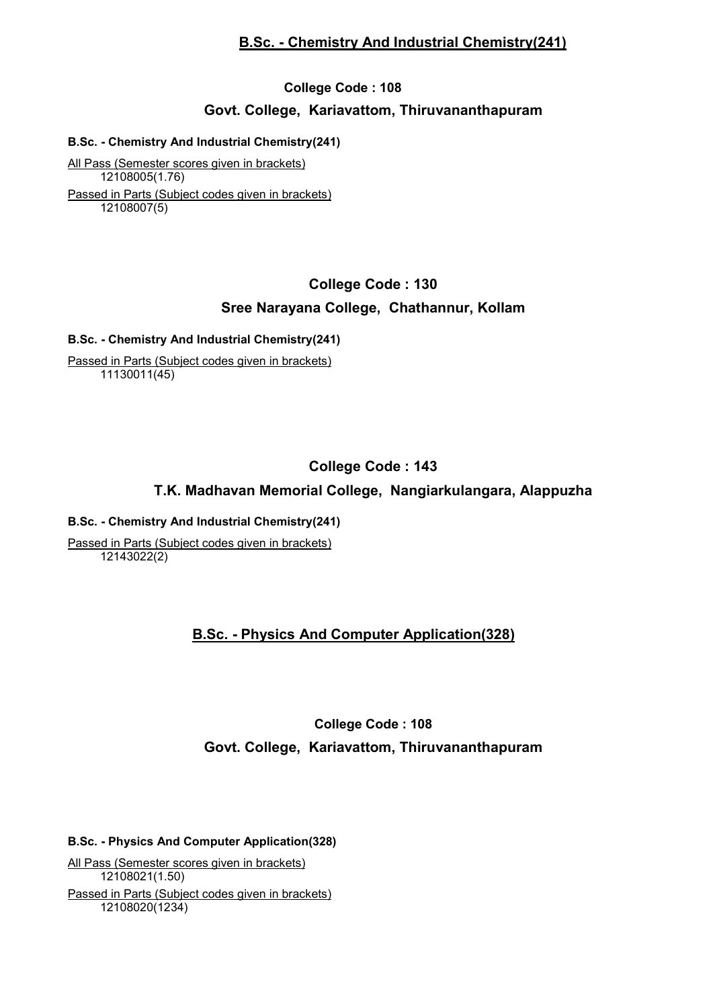### B.Sc. - Chemistry And Industrial Chemistry(241)

## College Code : 108 Govt. College, Kariavattom, Thiruvananthapuram

#### B.Sc. - Chemistry And Industrial Chemistry(241)

All Pass (Semester scores given in brackets) 12108005(1.76) Passed in Parts (Subject codes given in brackets) 12108007(5)

## College Code : 130

### Sree Narayana College, Chathannur, Kollam

#### B.Sc. - Chemistry And Industrial Chemistry(241)

Passed in Parts (Subject codes given in brackets) 11130011(45)

## College Code : 143

## T.K. Madhavan Memorial College, Nangiarkulangara, Alappuzha

#### B.Sc. - Chemistry And Industrial Chemistry(241)

Passed in Parts (Subject codes given in brackets) 12143022(2)

## B.Sc. - Physics And Computer Application(328)

## College Code : 108 Govt. College, Kariavattom, Thiruvananthapuram

#### B.Sc. - Physics And Computer Application(328)

All Pass (Semester scores given in brackets) 12108021(1.50) Passed in Parts (Subject codes given in brackets) 12108020(1234)